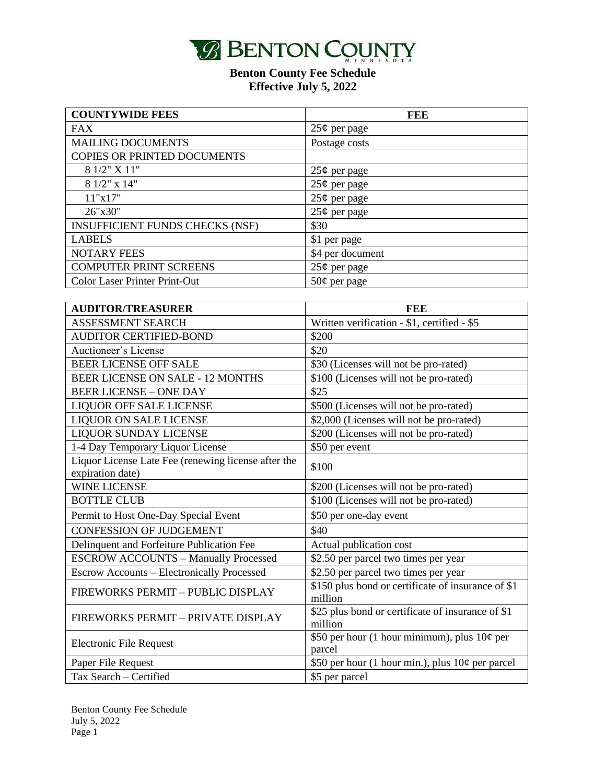

| <b>COUNTYWIDE FEES</b>                 | <b>FEE</b>       |
|----------------------------------------|------------------|
| <b>FAX</b>                             | $25¢$ per page   |
| <b>MAILING DOCUMENTS</b>               | Postage costs    |
| COPIES OR PRINTED DOCUMENTS            |                  |
| 8 1/2" X 11"                           | $25¢$ per page   |
| $81/2$ " x 14"                         | $25¢$ per page   |
| 11"x17"                                | $25¢$ per page   |
| 26"x30"                                | $25¢$ per page   |
| <b>INSUFFICIENT FUNDS CHECKS (NSF)</b> | \$30             |
| <b>LABELS</b>                          | \$1 per page     |
| <b>NOTARY FEES</b>                     | \$4 per document |
| <b>COMPUTER PRINT SCREENS</b>          | $25¢$ per page   |
| <b>Color Laser Printer Print-Out</b>   | $50¢$ per page   |

| <b>AUDITOR/TREASURER</b>                                                | FEE                                                           |
|-------------------------------------------------------------------------|---------------------------------------------------------------|
| <b>ASSESSMENT SEARCH</b>                                                | Written verification - \$1, certified - \$5                   |
| <b>AUDITOR CERTIFIED-BOND</b>                                           | \$200                                                         |
| Auctioneer's License                                                    | \$20                                                          |
| <b>BEER LICENSE OFF SALE</b>                                            | \$30 (Licenses will not be pro-rated)                         |
| <b>BEER LICENSE ON SALE - 12 MONTHS</b>                                 | \$100 (Licenses will not be pro-rated)                        |
| <b>BEER LICENSE - ONE DAY</b>                                           | \$25                                                          |
| LIQUOR OFF SALE LICENSE                                                 | \$500 (Licenses will not be pro-rated)                        |
| <b>LIQUOR ON SALE LICENSE</b>                                           | \$2,000 (Licenses will not be pro-rated)                      |
| <b>LIQUOR SUNDAY LICENSE</b>                                            | \$200 (Licenses will not be pro-rated)                        |
| 1-4 Day Temporary Liquor License                                        | \$50 per event                                                |
| Liquor License Late Fee (renewing license after the<br>expiration date) | \$100                                                         |
| <b>WINE LICENSE</b>                                                     | \$200 (Licenses will not be pro-rated)                        |
| <b>BOTTLE CLUB</b>                                                      | \$100 (Licenses will not be pro-rated)                        |
| Permit to Host One-Day Special Event                                    | \$50 per one-day event                                        |
| <b>CONFESSION OF JUDGEMENT</b>                                          | \$40                                                          |
| Delinquent and Forfeiture Publication Fee                               | Actual publication cost                                       |
| <b>ESCROW ACCOUNTS - Manually Processed</b>                             | \$2.50 per parcel two times per year                          |
| Escrow Accounts - Electronically Processed                              | \$2.50 per parcel two times per year                          |
| FIREWORKS PERMIT - PUBLIC DISPLAY                                       | \$150 plus bond or certificate of insurance of \$1<br>million |
| FIREWORKS PERMIT - PRIVATE DISPLAY                                      | \$25 plus bond or certificate of insurance of \$1<br>million  |
| Electronic File Request                                                 | \$50 per hour (1 hour minimum), plus $10¢$ per<br>parcel      |
| Paper File Request                                                      | \$50 per hour (1 hour min.), plus $10¢$ per parcel            |
| Tax Search - Certified                                                  | \$5 per parcel                                                |

Benton County Fee Schedule July 5, 2022 Page 1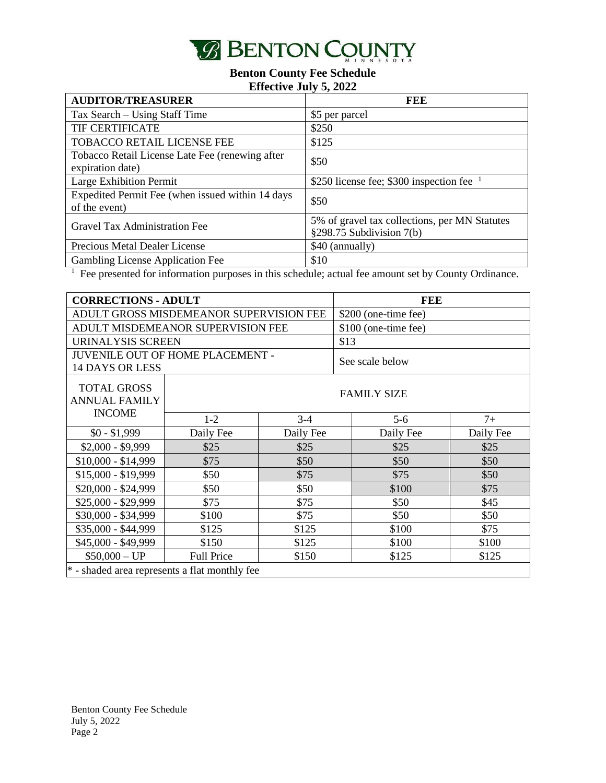

| <b>AUDITOR/TREASURER</b>                         | FEE                                           |
|--------------------------------------------------|-----------------------------------------------|
| Tax Search – Using Staff Time                    | \$5 per parcel                                |
| TIF CERTIFICATE                                  | \$250                                         |
| <b>TOBACCO RETAIL LICENSE FEE</b>                | \$125                                         |
| Tobacco Retail License Late Fee (renewing after  | \$50                                          |
| expiration date)                                 |                                               |
| Large Exhibition Permit                          | \$250 license fee; \$300 inspection fee $1$   |
| Expedited Permit Fee (when issued within 14 days | \$50                                          |
| of the event)                                    |                                               |
| Gravel Tax Administration Fee                    | 5% of gravel tax collections, per MN Statutes |
|                                                  | §298.75 Subdivision $7(b)$                    |
| <b>Precious Metal Dealer License</b>             | \$40 (annually)                               |
| Gambling License Application Fee                 | \$10                                          |

<sup>1</sup> Fee presented for information purposes in this schedule; actual fee amount set by County Ordinance.

| <b>CORRECTIONS - ADULT</b>                                 |                                   |                 | <b>FEE</b>           |                      |           |  |
|------------------------------------------------------------|-----------------------------------|-----------------|----------------------|----------------------|-----------|--|
| ADULT GROSS MISDEMEANOR SUPERVISION FEE                    |                                   |                 | \$200 (one-time fee) |                      |           |  |
|                                                            | ADULT MISDEMEANOR SUPERVISION FEE |                 |                      | \$100 (one-time fee) |           |  |
| <b>URINALYSIS SCREEN</b>                                   |                                   |                 |                      | \$13                 |           |  |
| JUVENILE OUT OF HOME PLACEMENT -<br><b>14 DAYS OR LESS</b> |                                   | See scale below |                      |                      |           |  |
| <b>TOTAL GROSS</b><br><b>ANNUAL FAMILY</b>                 |                                   |                 |                      | <b>FAMILY SIZE</b>   |           |  |
| <b>INCOME</b>                                              | $1-2$                             | $3 - 4$         |                      | $5-6$                | $7+$      |  |
| $$0 - $1,999$                                              | Daily Fee                         | Daily Fee       |                      | Daily Fee            | Daily Fee |  |
| $$2,000 - $9,999$                                          | \$25                              | \$25            |                      | \$25                 | \$25      |  |
| $$10,000 - $14,999$                                        | \$75                              | \$50            |                      | \$50                 | \$50      |  |
| $$15,000 - $19,999$                                        | \$50                              | \$75            |                      | \$75                 | \$50      |  |
| \$20,000 - \$24,999                                        | \$50                              | \$50            |                      | \$100                | \$75      |  |
| \$25,000 - \$29,999                                        | \$75                              | \$75            |                      | \$50                 | \$45      |  |
| \$30,000 - \$34,999                                        | \$100                             | \$75            |                      | \$50                 | \$50      |  |
| \$35,000 - \$44,999                                        | \$125                             | \$125           |                      | \$100                | \$75      |  |
| \$45,000 - \$49,999                                        | \$150                             | \$125           |                      | \$100                | \$100     |  |
| $$50,000 - UP$                                             | <b>Full Price</b>                 | \$150           |                      | \$125                | \$125     |  |
| * - shaded area represents a flat monthly fee              |                                   |                 |                      |                      |           |  |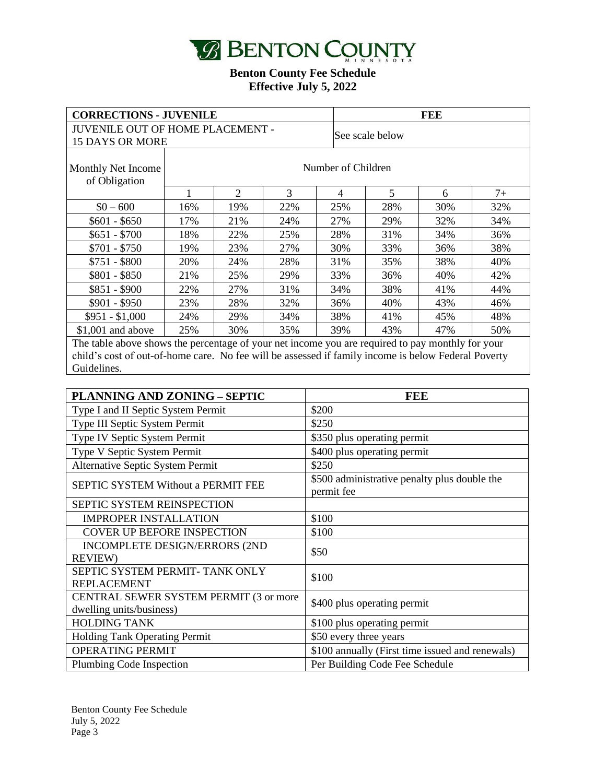

| <b>CORRECTIONS - JUVENILE</b>                                                                    |                    |     | <b>FEE</b>      |                |     |     |      |
|--------------------------------------------------------------------------------------------------|--------------------|-----|-----------------|----------------|-----|-----|------|
| <b>JUVENILE OUT OF HOME PLACEMENT -</b>                                                          |                    |     | See scale below |                |     |     |      |
| <b>15 DAYS OR MORE</b>                                                                           |                    |     |                 |                |     |     |      |
| Monthly Net Income<br>of Obligation                                                              | Number of Children |     |                 |                |     |     |      |
|                                                                                                  |                    | 2   | 3               | $\overline{4}$ | 5   | 6   | $7+$ |
| $$0 - 600$                                                                                       | 16%                | 19% | 22%             | 25%            | 28% | 30% | 32%  |
| $$601 - $650$                                                                                    | 17%                | 21% | 24%             | 27%            | 29% | 32% | 34%  |
| $$651 - $700$                                                                                    | 18%                | 22% | 25%             | 28%            | 31% | 34% | 36%  |
| $$701 - $750$                                                                                    | 19%                | 23% | 27%             | 30%            | 33% | 36% | 38%  |
| $$751 - $800$                                                                                    | 20%                | 24% | 28%             | 31%            | 35% | 38% | 40%  |
| $$801 - $850$                                                                                    | 21%                | 25% | 29%             | 33%            | 36% | 40% | 42%  |
| $$851 - $900$                                                                                    | 22%                | 27% | 31%             | 34%            | 38% | 41% | 44%  |
| $$901 - $950$                                                                                    | 23%                | 28% | 32%             | 36%            | 40% | 43% | 46%  |
| $$951 - $1,000$                                                                                  | 24%                | 29% | 34%             | 38%            | 41% | 45% | 48%  |
| $$1,001$ and above                                                                               | 25%                | 30% | 35%             | 39%            | 43% | 47% | 50%  |
| The table above shows the percentage of your net income you are required to pay monthly for your |                    |     |                 |                |     |     |      |

child's cost of out-of-home care. No fee will be assessed if family income is below Federal Poverty Guidelines.

| <b>PLANNING AND ZONING - SEPTIC</b>                                | <b>FEE</b>                                                 |
|--------------------------------------------------------------------|------------------------------------------------------------|
| Type I and II Septic System Permit                                 | \$200                                                      |
| Type III Septic System Permit                                      | \$250                                                      |
| Type IV Septic System Permit                                       | \$350 plus operating permit                                |
| Type V Septic System Permit                                        | \$400 plus operating permit                                |
| Alternative Septic System Permit                                   | \$250                                                      |
| <b>SEPTIC SYSTEM Without a PERMIT FEE</b>                          | \$500 administrative penalty plus double the<br>permit fee |
| <b>SEPTIC SYSTEM REINSPECTION</b>                                  |                                                            |
| <b>IMPROPER INSTALLATION</b>                                       | \$100                                                      |
| <b>COVER UP BEFORE INSPECTION</b>                                  | \$100                                                      |
| INCOMPLETE DESIGN/ERRORS (2ND<br><b>REVIEW)</b>                    | \$50                                                       |
| SEPTIC SYSTEM PERMIT- TANK ONLY<br><b>REPLACEMENT</b>              | \$100                                                      |
| CENTRAL SEWER SYSTEM PERMIT (3 or more<br>dwelling units/business) | \$400 plus operating permit                                |
| <b>HOLDING TANK</b>                                                | \$100 plus operating permit                                |
| <b>Holding Tank Operating Permit</b>                               | \$50 every three years                                     |
| <b>OPERATING PERMIT</b>                                            | \$100 annually (First time issued and renewals)            |
| Plumbing Code Inspection                                           | Per Building Code Fee Schedule                             |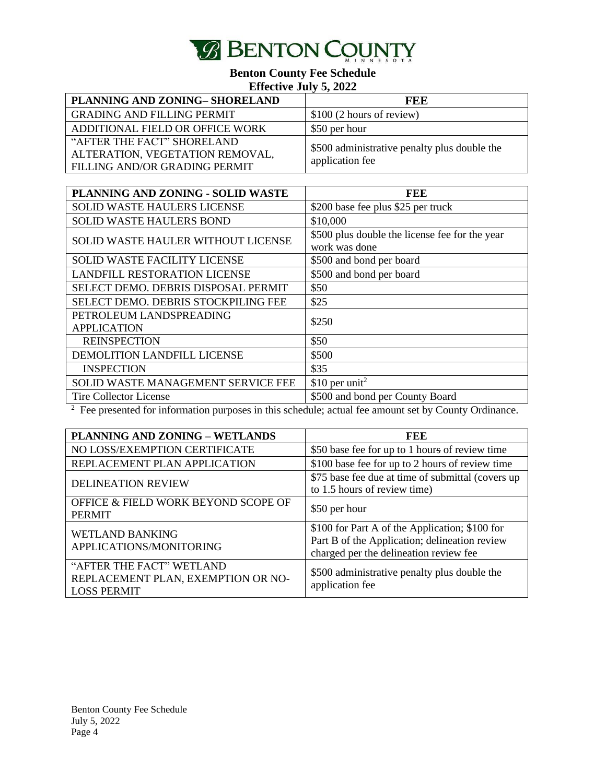

| PLANNING AND ZONING-SHORELAND     | FEE                                          |
|-----------------------------------|----------------------------------------------|
| <b>GRADING AND FILLING PERMIT</b> | \$100 (2 hours of review)                    |
| ADDITIONAL FIELD OR OFFICE WORK   | \$50 per hour                                |
| "AFTER THE FACT" SHORELAND        | \$500 administrative penalty plus double the |
| ALTERATION, VEGETATION REMOVAL,   | application fee                              |
| FILLING AND/OR GRADING PERMIT     |                                              |

| PLANNING AND ZONING - SOLID WASTE         | FEE                                            |
|-------------------------------------------|------------------------------------------------|
| <b>SOLID WASTE HAULERS LICENSE</b>        | \$200 base fee plus \$25 per truck             |
| <b>SOLID WASTE HAULERS BOND</b>           | \$10,000                                       |
| <b>SOLID WASTE HAULER WITHOUT LICENSE</b> | \$500 plus double the license fee for the year |
|                                           | work was done                                  |
| <b>SOLID WASTE FACILITY LICENSE</b>       | \$500 and bond per board                       |
| <b>LANDFILL RESTORATION LICENSE</b>       | \$500 and bond per board                       |
| SELECT DEMO. DEBRIS DISPOSAL PERMIT       | \$50                                           |
| SELECT DEMO. DEBRIS STOCKPILING FEE       | \$25                                           |
| PETROLEUM LANDSPREADING                   | \$250                                          |
| <b>APPLICATION</b>                        |                                                |
| <b>REINSPECTION</b>                       | \$50                                           |
| DEMOLITION LANDFILL LICENSE               | \$500                                          |
| <b>INSPECTION</b>                         | \$35                                           |
| SOLID WASTE MANAGEMENT SERVICE FEE        | \$10 per unit <sup>2</sup>                     |
| <b>Tire Collector License</b>             | \$500 and bond per County Board                |

 $2$  Fee presented for information purposes in this schedule; actual fee amount set by County Ordinance.

| PLANNING AND ZONING - WETLANDS                                                       | <b>FEE</b>                                                                                                                                |
|--------------------------------------------------------------------------------------|-------------------------------------------------------------------------------------------------------------------------------------------|
| NO LOSS/EXEMPTION CERTIFICATE                                                        | \$50 base fee for up to 1 hours of review time                                                                                            |
| REPLACEMENT PLAN APPLICATION                                                         | \$100 base fee for up to 2 hours of review time                                                                                           |
| <b>DELINEATION REVIEW</b>                                                            | \$75 base fee due at time of submittal (covers up<br>to 1.5 hours of review time)                                                         |
| OFFICE & FIELD WORK BEYOND SCOPE OF<br><b>PERMIT</b>                                 | \$50 per hour                                                                                                                             |
| <b>WETLAND BANKING</b><br>APPLICATIONS/MONITORING                                    | \$100 for Part A of the Application; \$100 for<br>Part B of the Application; delineation review<br>charged per the delineation review fee |
| "AFTER THE FACT" WETLAND<br>REPLACEMENT PLAN, EXEMPTION OR NO-<br><b>LOSS PERMIT</b> | \$500 administrative penalty plus double the<br>application fee                                                                           |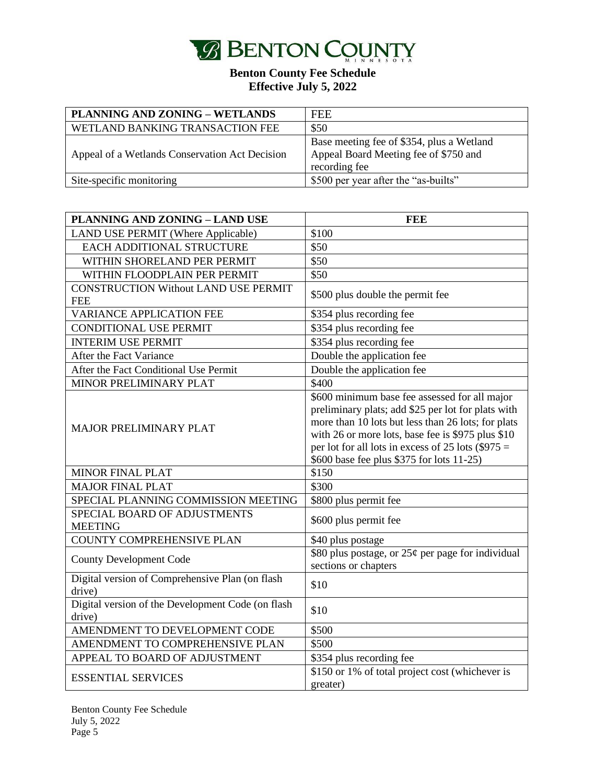

| PLANNING AND ZONING - WETLANDS                 | <b>FEE</b>                                                                                          |
|------------------------------------------------|-----------------------------------------------------------------------------------------------------|
| WETLAND BANKING TRANSACTION FEE                | \$50                                                                                                |
| Appeal of a Wetlands Conservation Act Decision | Base meeting fee of \$354, plus a Wetland<br>Appeal Board Meeting fee of \$750 and<br>recording fee |
| Site-specific monitoring                       | \$500 per year after the "as-builts"                                                                |

| <b>PLANNING AND ZONING - LAND USE</b>                       | <b>FEE</b>                                                                                                                                                                                                                                                                                                          |
|-------------------------------------------------------------|---------------------------------------------------------------------------------------------------------------------------------------------------------------------------------------------------------------------------------------------------------------------------------------------------------------------|
| <b>LAND USE PERMIT (Where Applicable)</b>                   | \$100                                                                                                                                                                                                                                                                                                               |
| EACH ADDITIONAL STRUCTURE                                   | \$50                                                                                                                                                                                                                                                                                                                |
| WITHIN SHORELAND PER PERMIT                                 | \$50                                                                                                                                                                                                                                                                                                                |
| WITHIN FLOODPLAIN PER PERMIT                                | \$50                                                                                                                                                                                                                                                                                                                |
| <b>CONSTRUCTION Without LAND USE PERMIT</b><br><b>FEE</b>   | \$500 plus double the permit fee                                                                                                                                                                                                                                                                                    |
| <b>VARIANCE APPLICATION FEE</b>                             | \$354 plus recording fee                                                                                                                                                                                                                                                                                            |
| <b>CONDITIONAL USE PERMIT</b>                               | \$354 plus recording fee                                                                                                                                                                                                                                                                                            |
| <b>INTERIM USE PERMIT</b>                                   | \$354 plus recording fee                                                                                                                                                                                                                                                                                            |
| After the Fact Variance                                     | Double the application fee                                                                                                                                                                                                                                                                                          |
| After the Fact Conditional Use Permit                       | Double the application fee                                                                                                                                                                                                                                                                                          |
| MINOR PRELIMINARY PLAT                                      | \$400                                                                                                                                                                                                                                                                                                               |
| <b>MAJOR PRELIMINARY PLAT</b>                               | \$600 minimum base fee assessed for all major<br>preliminary plats; add \$25 per lot for plats with<br>more than 10 lots but less than 26 lots; for plats<br>with 26 or more lots, base fee is \$975 plus \$10<br>per lot for all lots in excess of 25 lots $(\$975 =$<br>\$600 base fee plus \$375 for lots 11-25) |
| <b>MINOR FINAL PLAT</b>                                     | \$150                                                                                                                                                                                                                                                                                                               |
| <b>MAJOR FINAL PLAT</b>                                     | \$300                                                                                                                                                                                                                                                                                                               |
| SPECIAL PLANNING COMMISSION MEETING                         | \$800 plus permit fee                                                                                                                                                                                                                                                                                               |
| SPECIAL BOARD OF ADJUSTMENTS<br><b>MEETING</b>              | \$600 plus permit fee                                                                                                                                                                                                                                                                                               |
| <b>COUNTY COMPREHENSIVE PLAN</b>                            | \$40 plus postage                                                                                                                                                                                                                                                                                                   |
| <b>County Development Code</b>                              | \$80 plus postage, or $25¢$ per page for individual<br>sections or chapters                                                                                                                                                                                                                                         |
| Digital version of Comprehensive Plan (on flash<br>drive)   | \$10                                                                                                                                                                                                                                                                                                                |
| Digital version of the Development Code (on flash<br>drive) | \$10                                                                                                                                                                                                                                                                                                                |
| AMENDMENT TO DEVELOPMENT CODE                               | \$500                                                                                                                                                                                                                                                                                                               |
| AMENDMENT TO COMPREHENSIVE PLAN                             | \$500                                                                                                                                                                                                                                                                                                               |
| APPEAL TO BOARD OF ADJUSTMENT                               | \$354 plus recording fee                                                                                                                                                                                                                                                                                            |
| <b>ESSENTIAL SERVICES</b>                                   | $$150$ or 1% of total project cost (whichever is<br>greater)                                                                                                                                                                                                                                                        |

Benton County Fee Schedule July 5, 2022 Page 5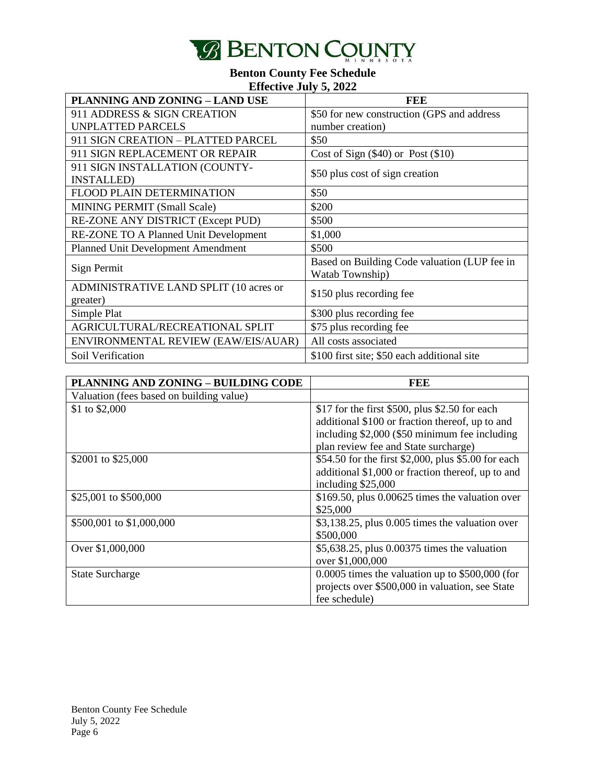

| <b>PLANNING AND ZONING - LAND USE</b>               | <b>FEE</b>                                                      |
|-----------------------------------------------------|-----------------------------------------------------------------|
| 911 ADDRESS & SIGN CREATION                         | \$50 for new construction (GPS and address                      |
| <b>UNPLATTED PARCELS</b>                            | number creation)                                                |
| 911 SIGN CREATION - PLATTED PARCEL                  | \$50                                                            |
| 911 SIGN REPLACEMENT OR REPAIR                      | Cost of Sign $(\$40)$ or Post $(\$10)$                          |
| 911 SIGN INSTALLATION (COUNTY-<br><b>INSTALLED)</b> | \$50 plus cost of sign creation                                 |
| <b>FLOOD PLAIN DETERMINATION</b>                    | \$50                                                            |
| MINING PERMIT (Small Scale)                         | \$200                                                           |
| RE-ZONE ANY DISTRICT (Except PUD)                   | \$500                                                           |
| RE-ZONE TO A Planned Unit Development               | \$1,000                                                         |
| <b>Planned Unit Development Amendment</b>           | \$500                                                           |
| Sign Permit                                         | Based on Building Code valuation (LUP fee in<br>Watab Township) |
| ADMINISTRATIVE LAND SPLIT (10 acres or<br>greater)  | \$150 plus recording fee                                        |
| Simple Plat                                         | \$300 plus recording fee                                        |
| AGRICULTURAL/RECREATIONAL SPLIT                     | \$75 plus recording fee                                         |
| ENVIRONMENTAL REVIEW (EAW/EIS/AUAR)                 | All costs associated                                            |
| Soil Verification                                   | \$100 first site; \$50 each additional site                     |

| PLANNING AND ZONING - BUILDING CODE      | FEE                                                 |
|------------------------------------------|-----------------------------------------------------|
| Valuation (fees based on building value) |                                                     |
| \$1 to \$2,000                           | \$17 for the first \$500, plus \$2.50 for each      |
|                                          | additional \$100 or fraction thereof, up to and     |
|                                          | including \$2,000 (\$50 minimum fee including       |
|                                          | plan review fee and State surcharge)                |
| \$2001 to \$25,000                       | \$54.50 for the first \$2,000, plus \$5.00 for each |
|                                          | additional \$1,000 or fraction thereof, up to and   |
|                                          | including \$25,000                                  |
| \$25,001 to \$500,000                    | \$169.50, plus 0.00625 times the valuation over     |
|                                          | \$25,000                                            |
| \$500,001 to \$1,000,000                 | \$3,138.25, plus 0.005 times the valuation over     |
|                                          | \$500,000                                           |
| Over \$1,000,000                         | \$5,638.25, plus 0.00375 times the valuation        |
|                                          | over \$1,000,000                                    |
| <b>State Surcharge</b>                   | $0.0005$ times the valuation up to \$500,000 (for   |
|                                          | projects over \$500,000 in valuation, see State     |
|                                          | fee schedule)                                       |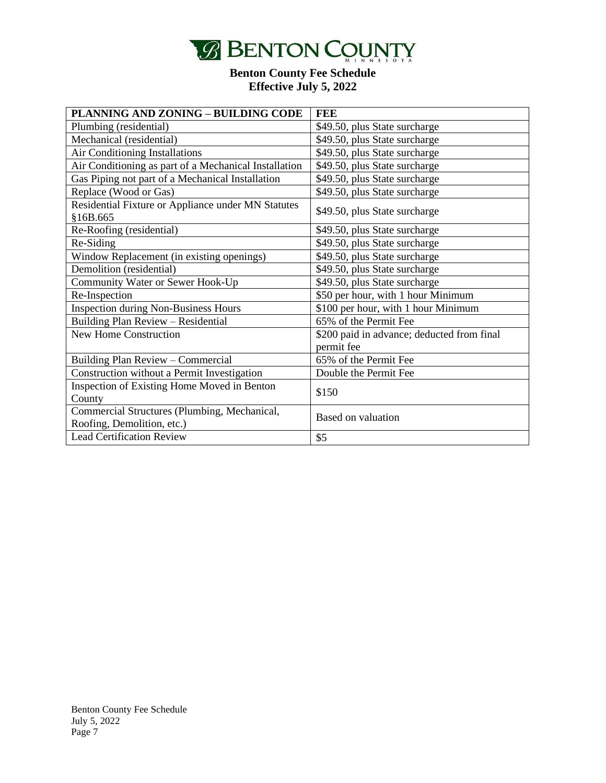

| PLANNING AND ZONING - BUILDING CODE                            | <b>FEE</b>                                 |
|----------------------------------------------------------------|--------------------------------------------|
| Plumbing (residential)                                         | \$49.50, plus State surcharge              |
| Mechanical (residential)                                       | \$49.50, plus State surcharge              |
| Air Conditioning Installations                                 | \$49.50, plus State surcharge              |
| Air Conditioning as part of a Mechanical Installation          | \$49.50, plus State surcharge              |
| Gas Piping not part of a Mechanical Installation               | \$49.50, plus State surcharge              |
| Replace (Wood or Gas)                                          | \$49.50, plus State surcharge              |
| Residential Fixture or Appliance under MN Statutes<br>§16B.665 | \$49.50, plus State surcharge              |
| Re-Roofing (residential)                                       | \$49.50, plus State surcharge              |
| Re-Siding                                                      | \$49.50, plus State surcharge              |
| Window Replacement (in existing openings)                      | \$49.50, plus State surcharge              |
| Demolition (residential)                                       | \$49.50, plus State surcharge              |
| Community Water or Sewer Hook-Up                               | \$49.50, plus State surcharge              |
| Re-Inspection                                                  | \$50 per hour, with 1 hour Minimum         |
| <b>Inspection during Non-Business Hours</b>                    | \$100 per hour, with 1 hour Minimum        |
| Building Plan Review - Residential                             | 65% of the Permit Fee                      |
| New Home Construction                                          | \$200 paid in advance; deducted from final |
|                                                                | permit fee                                 |
| Building Plan Review - Commercial                              | 65% of the Permit Fee                      |
| Construction without a Permit Investigation                    | Double the Permit Fee                      |
| Inspection of Existing Home Moved in Benton                    | \$150                                      |
| County                                                         |                                            |
| Commercial Structures (Plumbing, Mechanical,                   | Based on valuation                         |
| Roofing, Demolition, etc.)                                     |                                            |
| <b>Lead Certification Review</b>                               | \$5                                        |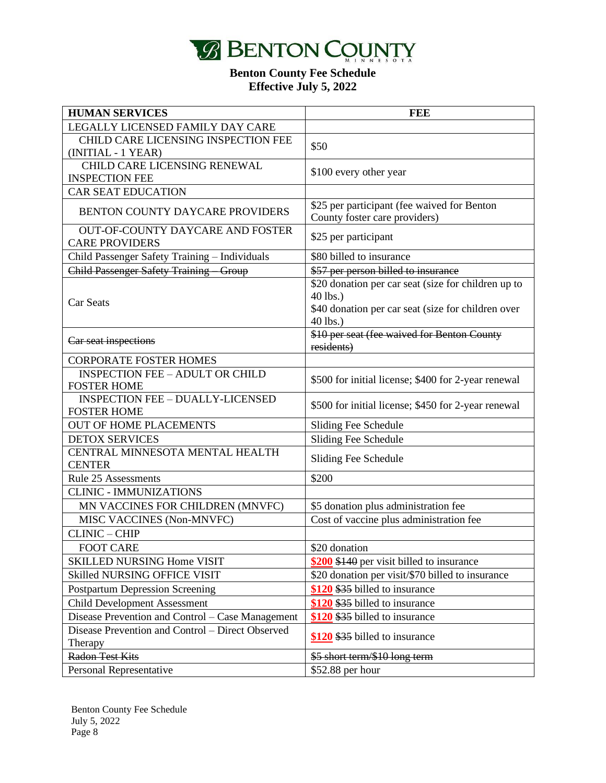

| <b>HUMAN SERVICES</b>                                            | <b>FEE</b>                                                                   |
|------------------------------------------------------------------|------------------------------------------------------------------------------|
| LEGALLY LICENSED FAMILY DAY CARE                                 |                                                                              |
| CHILD CARE LICENSING INSPECTION FEE                              | \$50                                                                         |
| (INITIAL - 1 YEAR)                                               |                                                                              |
| CHILD CARE LICENSING RENEWAL                                     | \$100 every other year                                                       |
| <b>INSPECTION FEE</b>                                            |                                                                              |
| <b>CAR SEAT EDUCATION</b>                                        |                                                                              |
| <b>BENTON COUNTY DAYCARE PROVIDERS</b>                           | \$25 per participant (fee waived for Benton<br>County foster care providers) |
| <b>OUT-OF-COUNTY DAYCARE AND FOSTER</b><br><b>CARE PROVIDERS</b> | \$25 per participant                                                         |
| Child Passenger Safety Training - Individuals                    | \$80 billed to insurance                                                     |
| Child Passenger Safety Training Group                            | \$57 per person billed to insurance                                          |
|                                                                  | \$20 donation per car seat (size for children up to                          |
|                                                                  | 40 lbs.)                                                                     |
| Car Seats                                                        | \$40 donation per car seat (size for children over                           |
|                                                                  | 40 lbs.)                                                                     |
| Car seat inspections                                             | \$10 per seat (fee waived for Benton County                                  |
|                                                                  | residents)                                                                   |
| <b>CORPORATE FOSTER HOMES</b>                                    |                                                                              |
| <b>INSPECTION FEE - ADULT OR CHILD</b>                           | \$500 for initial license; \$400 for 2-year renewal                          |
| <b>FOSTER HOME</b>                                               |                                                                              |
| <b>INSPECTION FEE - DUALLY-LICENSED</b><br><b>FOSTER HOME</b>    | \$500 for initial license; \$450 for 2-year renewal                          |
| <b>OUT OF HOME PLACEMENTS</b>                                    | Sliding Fee Schedule                                                         |
| <b>DETOX SERVICES</b>                                            | Sliding Fee Schedule                                                         |
| CENTRAL MINNESOTA MENTAL HEALTH                                  |                                                                              |
| <b>CENTER</b>                                                    | Sliding Fee Schedule                                                         |
| Rule 25 Assessments                                              | \$200                                                                        |
| <b>CLINIC - IMMUNIZATIONS</b>                                    |                                                                              |
| MN VACCINES FOR CHILDREN (MNVFC)                                 | \$5 donation plus administration fee                                         |
| MISC VACCINES (Non-MNVFC)                                        | Cost of vaccine plus administration fee                                      |
| <b>CLINIC - CHIP</b>                                             |                                                                              |
| FOOT CARE                                                        | \$20 donation                                                                |
| <b>SKILLED NURSING Home VISIT</b>                                | \$200 \$140 per visit billed to insurance                                    |
| <b>Skilled NURSING OFFICE VISIT</b>                              | \$20 donation per visit/\$70 billed to insurance                             |
| <b>Postpartum Depression Screening</b>                           | \$120 \$35 billed to insurance                                               |
| <b>Child Development Assessment</b>                              | \$120 \$35 billed to insurance                                               |
| Disease Prevention and Control – Case Management                 | \$120 \$35 billed to insurance                                               |
| Disease Prevention and Control - Direct Observed                 |                                                                              |
| Therapy                                                          | \$120 \$35 billed to insurance                                               |
| <b>Radon Test Kits</b>                                           | \$5 short term/\$10 long term                                                |
| Personal Representative                                          | \$52.88 per hour                                                             |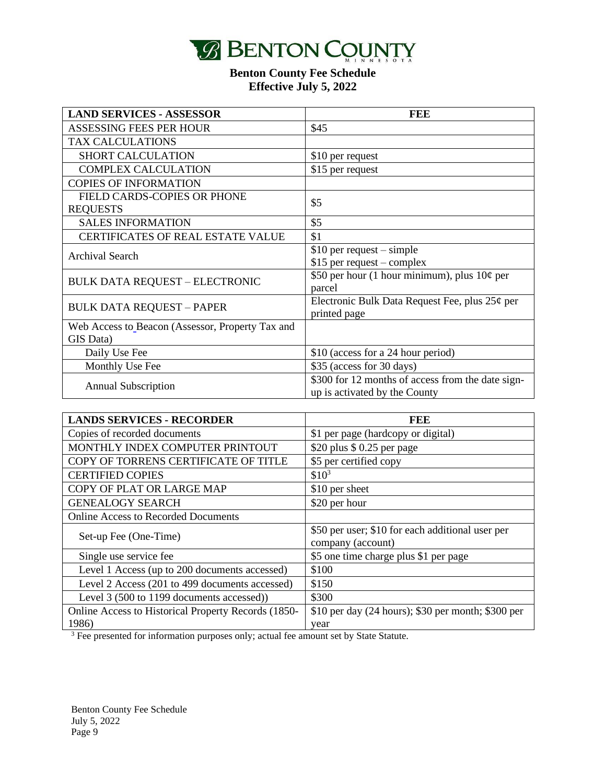

| <b>LAND SERVICES - ASSESSOR</b>                               | FEE                                                                                |
|---------------------------------------------------------------|------------------------------------------------------------------------------------|
| ASSESSING FEES PER HOUR                                       | \$45                                                                               |
| <b>TAX CALCULATIONS</b>                                       |                                                                                    |
| <b>SHORT CALCULATION</b>                                      | \$10 per request                                                                   |
| <b>COMPLEX CALCULATION</b>                                    | \$15 per request                                                                   |
| <b>COPIES OF INFORMATION</b>                                  |                                                                                    |
| FIELD CARDS-COPIES OR PHONE<br><b>REQUESTS</b>                | \$5                                                                                |
| <b>SALES INFORMATION</b>                                      | \$5                                                                                |
| CERTIFICATES OF REAL ESTATE VALUE                             | \$1                                                                                |
| <b>Archival Search</b>                                        | $$10$ per request – simple<br>\$15 per request - complex                           |
| <b>BULK DATA REQUEST - ELECTRONIC</b>                         | \$50 per hour (1 hour minimum), plus $10¢$ per<br>parcel                           |
| <b>BULK DATA REQUEST - PAPER</b>                              | Electronic Bulk Data Request Fee, plus 25¢ per<br>printed page                     |
| Web Access to Beacon (Assessor, Property Tax and<br>GIS Data) |                                                                                    |
| Daily Use Fee                                                 | \$10 (access for a 24 hour period)                                                 |
| Monthly Use Fee                                               | \$35 (access for 30 days)                                                          |
| <b>Annual Subscription</b>                                    | \$300 for 12 months of access from the date sign-<br>up is activated by the County |

| <b>LANDS SERVICES - RECORDER</b>                    | FEE                                                                   |
|-----------------------------------------------------|-----------------------------------------------------------------------|
| Copies of recorded documents                        | \$1 per page (hardcopy or digital)                                    |
| MONTHLY INDEX COMPUTER PRINTOUT                     | \$20 plus $$0.25$ per page                                            |
| COPY OF TORRENS CERTIFICATE OF TITLE                | \$5 per certified copy                                                |
| <b>CERTIFIED COPIES</b>                             | $$10^3$                                                               |
| COPY OF PLAT OR LARGE MAP                           | \$10 per sheet                                                        |
| <b>GENEALOGY SEARCH</b>                             | \$20 per hour                                                         |
| <b>Online Access to Recorded Documents</b>          |                                                                       |
| Set-up Fee (One-Time)                               | \$50 per user; \$10 for each additional user per<br>company (account) |
| Single use service fee                              | \$5 one time charge plus \$1 per page                                 |
| Level 1 Access (up to 200 documents accessed)       | \$100                                                                 |
| Level 2 Access (201 to 499 documents accessed)      | \$150                                                                 |
| Level 3 (500 to 1199 documents accessed))           | \$300                                                                 |
| Online Access to Historical Property Records (1850- | \$10 per day (24 hours); \$30 per month; \$300 per                    |
| 1986)                                               | year                                                                  |

<sup>3</sup> Fee presented for information purposes only; actual fee amount set by State Statute.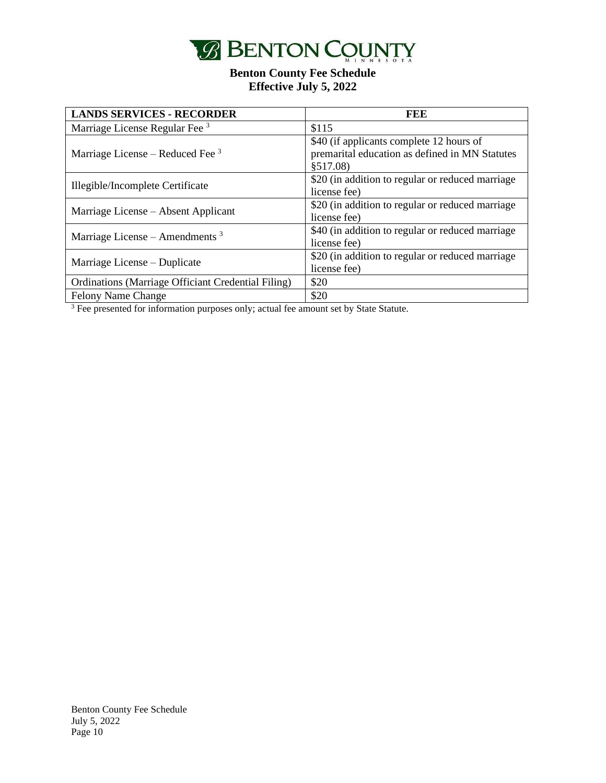

| <b>LANDS SERVICES - RECORDER</b>                   | FEE                                                                                                    |
|----------------------------------------------------|--------------------------------------------------------------------------------------------------------|
| Marriage License Regular Fee <sup>3</sup>          | \$115                                                                                                  |
| Marriage License – Reduced Fee $3$                 | \$40 (if applicants complete 12 hours of<br>premarital education as defined in MN Statutes<br>\$517.08 |
| Illegible/Incomplete Certificate                   | \$20 (in addition to regular or reduced marriage)<br>license fee)                                      |
| Marriage License – Absent Applicant                | \$20 (in addition to regular or reduced marriage<br>license fee)                                       |
| Marriage License – Amendments $3$                  | \$40 (in addition to regular or reduced marriage<br>license fee)                                       |
| Marriage License – Duplicate                       | \$20 (in addition to regular or reduced marriage<br>license fee)                                       |
| Ordinations (Marriage Officiant Credential Filing) | \$20                                                                                                   |
| <b>Felony Name Change</b>                          | \$20                                                                                                   |

 $3$  Fee presented for information purposes only; actual fee amount set by State Statute.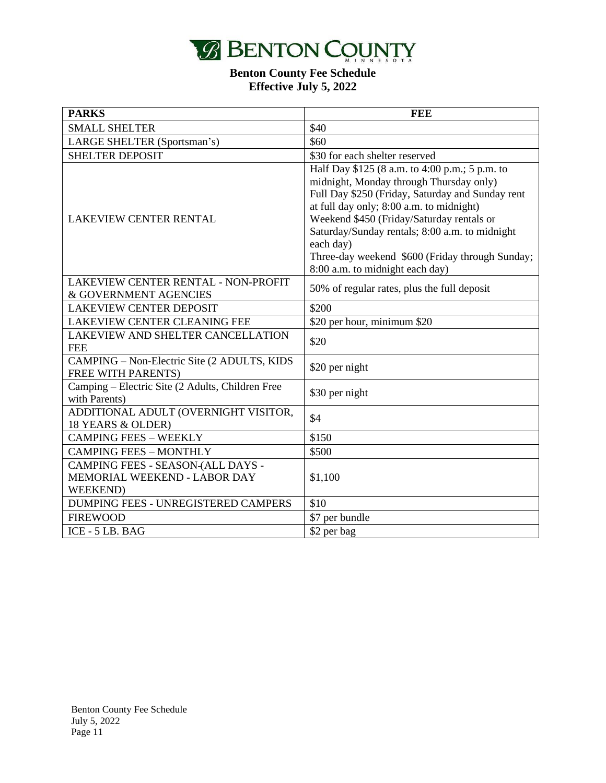

| <b>PARKS</b>                                                                                 | <b>FEE</b>                                                                                                                                                                                                                                                                                                                                                                                  |
|----------------------------------------------------------------------------------------------|---------------------------------------------------------------------------------------------------------------------------------------------------------------------------------------------------------------------------------------------------------------------------------------------------------------------------------------------------------------------------------------------|
| <b>SMALL SHELTER</b>                                                                         | \$40                                                                                                                                                                                                                                                                                                                                                                                        |
| LARGE SHELTER (Sportsman's)                                                                  | \$60                                                                                                                                                                                                                                                                                                                                                                                        |
| <b>SHELTER DEPOSIT</b>                                                                       | \$30 for each shelter reserved                                                                                                                                                                                                                                                                                                                                                              |
| <b>LAKEVIEW CENTER RENTAL</b>                                                                | Half Day \$125 (8 a.m. to 4:00 p.m.; 5 p.m. to<br>midnight, Monday through Thursday only)<br>Full Day \$250 (Friday, Saturday and Sunday rent<br>at full day only; 8:00 a.m. to midnight)<br>Weekend \$450 (Friday/Saturday rentals or<br>Saturday/Sunday rentals; 8:00 a.m. to midnight<br>each day)<br>Three-day weekend \$600 (Friday through Sunday;<br>8:00 a.m. to midnight each day) |
| LAKEVIEW CENTER RENTAL - NON-PROFIT                                                          |                                                                                                                                                                                                                                                                                                                                                                                             |
| & GOVERNMENT AGENCIES                                                                        | 50% of regular rates, plus the full deposit                                                                                                                                                                                                                                                                                                                                                 |
| <b>LAKEVIEW CENTER DEPOSIT</b>                                                               | \$200                                                                                                                                                                                                                                                                                                                                                                                       |
| LAKEVIEW CENTER CLEANING FEE                                                                 | \$20 per hour, minimum \$20                                                                                                                                                                                                                                                                                                                                                                 |
| LAKEVIEW AND SHELTER CANCELLATION<br><b>FEE</b>                                              | \$20                                                                                                                                                                                                                                                                                                                                                                                        |
| CAMPING - Non-Electric Site (2 ADULTS, KIDS<br><b>FREE WITH PARENTS)</b>                     | \$20 per night                                                                                                                                                                                                                                                                                                                                                                              |
| Camping – Electric Site (2 Adults, Children Free<br>with Parents)                            | \$30 per night                                                                                                                                                                                                                                                                                                                                                                              |
| ADDITIONAL ADULT (OVERNIGHT VISITOR,<br>18 YEARS & OLDER)                                    | \$4                                                                                                                                                                                                                                                                                                                                                                                         |
| <b>CAMPING FEES - WEEKLY</b>                                                                 | \$150                                                                                                                                                                                                                                                                                                                                                                                       |
| <b>CAMPING FEES - MONTHLY</b>                                                                | \$500                                                                                                                                                                                                                                                                                                                                                                                       |
| CAMPING FEES - SEASON-(ALL DAYS -<br><b>MEMORIAL WEEKEND - LABOR DAY</b><br><b>WEEKEND</b> ) | \$1,100                                                                                                                                                                                                                                                                                                                                                                                     |
| DUMPING FEES - UNREGISTERED CAMPERS                                                          | \$10                                                                                                                                                                                                                                                                                                                                                                                        |
| <b>FIREWOOD</b>                                                                              | \$7 per bundle                                                                                                                                                                                                                                                                                                                                                                              |
| ICE - 5 LB. BAG                                                                              | \$2 per bag                                                                                                                                                                                                                                                                                                                                                                                 |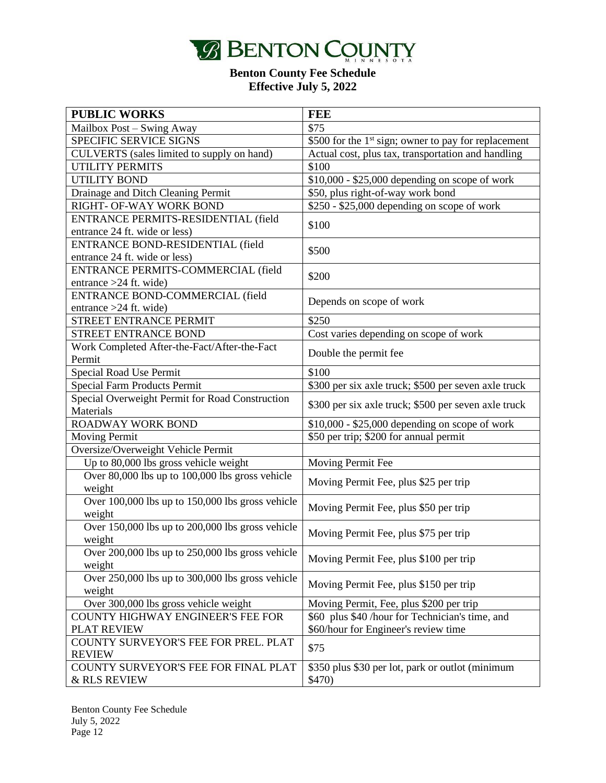

| <b>PUBLIC WORKS</b>                              | <b>FEE</b>                                                       |
|--------------------------------------------------|------------------------------------------------------------------|
| Mailbox Post - Swing Away                        | \$75                                                             |
| SPECIFIC SERVICE SIGNS                           | \$500 for the 1 <sup>st</sup> sign; owner to pay for replacement |
| CULVERTS (sales limited to supply on hand)       | Actual cost, plus tax, transportation and handling               |
| UTILITY PERMITS                                  | \$100                                                            |
| <b>UTILITY BOND</b>                              | $$10,000 - $25,000$ depending on scope of work                   |
| Drainage and Ditch Cleaning Permit               | \$50, plus right-of-way work bond                                |
| RIGHT- OF-WAY WORK BOND                          | $$250 - $25,000$ depending on scope of work                      |
| ENTRANCE PERMITS-RESIDENTIAL (field              |                                                                  |
| entrance 24 ft. wide or less)                    | \$100                                                            |
| ENTRANCE BOND-RESIDENTIAL (field                 |                                                                  |
| entrance 24 ft. wide or less)                    | \$500                                                            |
| ENTRANCE PERMITS-COMMERCIAL (field               |                                                                  |
| entrance $>24$ ft. wide)                         | \$200                                                            |
| ENTRANCE BOND-COMMERCIAL (field                  |                                                                  |
| entrance $>24$ ft. wide)                         | Depends on scope of work                                         |
| STREET ENTRANCE PERMIT                           | \$250                                                            |
| STREET ENTRANCE BOND                             | Cost varies depending on scope of work                           |
| Work Completed After-the-Fact/After-the-Fact     |                                                                  |
| Permit                                           | Double the permit fee                                            |
| Special Road Use Permit                          | \$100                                                            |
| <b>Special Farm Products Permit</b>              | \$300 per six axle truck; \$500 per seven axle truck             |
| Special Overweight Permit for Road Construction  |                                                                  |
| Materials                                        | \$300 per six axle truck; \$500 per seven axle truck             |
| <b>ROADWAY WORK BOND</b>                         | \$10,000 - \$25,000 depending on scope of work                   |
| <b>Moving Permit</b>                             | \$50 per trip; \$200 for annual permit                           |
| Oversize/Overweight Vehicle Permit               |                                                                  |
| Up to 80,000 lbs gross vehicle weight            | Moving Permit Fee                                                |
| Over 80,000 lbs up to 100,000 lbs gross vehicle  |                                                                  |
| weight                                           | Moving Permit Fee, plus \$25 per trip                            |
| Over 100,000 lbs up to 150,000 lbs gross vehicle | Moving Permit Fee, plus \$50 per trip                            |
| weight                                           |                                                                  |
| Over 150,000 lbs up to 200,000 lbs gross vehicle | Moving Permit Fee, plus \$75 per trip                            |
| weight                                           |                                                                  |
| Over 200,000 lbs up to 250,000 lbs gross vehicle | Moving Permit Fee, plus \$100 per trip                           |
| weight                                           |                                                                  |
| Over 250,000 lbs up to 300,000 lbs gross vehicle | Moving Permit Fee, plus \$150 per trip                           |
| weight                                           |                                                                  |
| Over 300,000 lbs gross vehicle weight            | Moving Permit, Fee, plus \$200 per trip                          |
| <b>COUNTY HIGHWAY ENGINEER'S FEE FOR</b>         | \$60 plus \$40 /hour for Technician's time, and                  |
| <b>PLAT REVIEW</b>                               | \$60/hour for Engineer's review time                             |
| COUNTY SURVEYOR'S FEE FOR PREL. PLAT             | \$75                                                             |
| <b>REVIEW</b>                                    |                                                                  |
| COUNTY SURVEYOR'S FEE FOR FINAL PLAT             | \$350 plus \$30 per lot, park or outlot (minimum                 |
| & RLS REVIEW                                     | \$470)                                                           |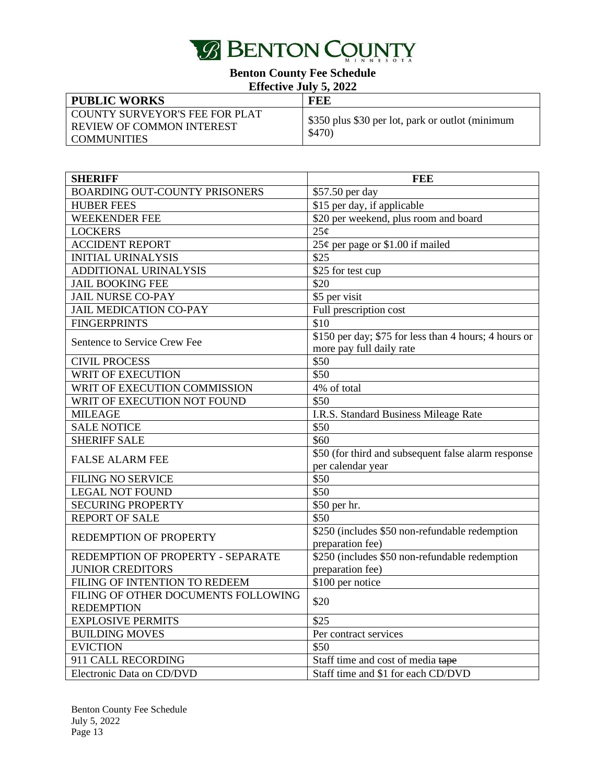

| <b>PUBLIC WORKS</b>                                                         | FEE                                                        |
|-----------------------------------------------------------------------------|------------------------------------------------------------|
| COUNTY SURVEYOR'S FEE FOR PLAT<br>REVIEW OF COMMON INTEREST<br>LCOMMUNITIES | \$350 plus \$30 per lot, park or outlot (minimum<br>\$470) |

| <b>SHERIFF</b>                            | <b>FEE</b>                                            |
|-------------------------------------------|-------------------------------------------------------|
| <b>BOARDING OUT-COUNTY PRISONERS</b>      | \$57.50 per day                                       |
| <b>HUBER FEES</b>                         | \$15 per day, if applicable                           |
| <b>WEEKENDER FEE</b>                      | \$20 per weekend, plus room and board                 |
| <b>LOCKERS</b>                            | 25¢                                                   |
| <b>ACCIDENT REPORT</b>                    | 25¢ per page or \$1.00 if mailed                      |
| <b>INITIAL URINALYSIS</b>                 | $\overline{$}25$                                      |
| ADDITIONAL URINALYSIS                     | \$25 for test cup                                     |
| <b>JAIL BOOKING FEE</b>                   | \$20                                                  |
| <b>JAIL NURSE CO-PAY</b>                  | \$5 per visit                                         |
| JAIL MEDICATION CO-PAY                    | Full prescription cost                                |
| <b>FINGERPRINTS</b>                       | \$10                                                  |
| Sentence to Service Crew Fee              | \$150 per day; \$75 for less than 4 hours; 4 hours or |
| <b>CIVIL PROCESS</b>                      | more pay full daily rate<br>$\overline{$}50$          |
| WRIT OF EXECUTION                         | \$50                                                  |
| WRIT OF EXECUTION COMMISSION              | 4% of total                                           |
| WRIT OF EXECUTION NOT FOUND               | \$50                                                  |
|                                           |                                                       |
| <b>MILEAGE</b>                            | I.R.S. Standard Business Mileage Rate<br>\$50         |
| <b>SALE NOTICE</b><br><b>SHERIFF SALE</b> | \$60                                                  |
|                                           | \$50 (for third and subsequent false alarm response   |
| <b>FALSE ALARM FEE</b>                    | per calendar year                                     |
| <b>FILING NO SERVICE</b>                  | \$50                                                  |
| <b>LEGAL NOT FOUND</b>                    | \$50                                                  |
| <b>SECURING PROPERTY</b>                  | \$50 per hr.                                          |
| <b>REPORT OF SALE</b>                     | \$50                                                  |
|                                           | \$250 (includes \$50 non-refundable redemption        |
| REDEMPTION OF PROPERTY                    | preparation fee)                                      |
| REDEMPTION OF PROPERTY - SEPARATE         | \$250 (includes \$50 non-refundable redemption        |
| <b>JUNIOR CREDITORS</b>                   | preparation fee)                                      |
| FILING OF INTENTION TO REDEEM             | \$100 per notice                                      |
| FILING OF OTHER DOCUMENTS FOLLOWING       | \$20                                                  |
| <b>REDEMPTION</b>                         |                                                       |
| <b>EXPLOSIVE PERMITS</b>                  | $\overline{$}25$                                      |
| <b>BUILDING MOVES</b>                     | Per contract services                                 |
| <b>EVICTION</b>                           | \$50                                                  |
| 911 CALL RECORDING                        | Staff time and cost of media tape                     |
| Electronic Data on CD/DVD                 | Staff time and \$1 for each CD/DVD                    |

Benton County Fee Schedule July 5, 2022 Page 13